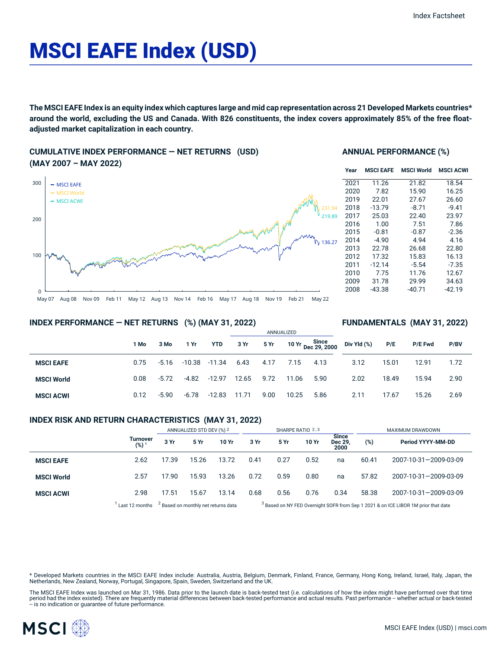# MSCI EAFE Index (USD)

The MSCI EAFE Index is an equity index which captures large and mid cap representation across 21 Developed Markets countries\* around the world, excluding the US and Canada. With 826 constituents, the index covers approximately 85% of the free float**adjusted market capitalization in each country.**

## **CUMULATIVE INDEX PERFORMANCE — NET RETURNS (USD) (MAY 2007 – MAY 2022)**



#### **ANNUAL PERFORMANCE (%)**

| Year | <b>MSCI EAFE</b> | <b>MSCI World</b> | <b>MSCI ACWI</b> |
|------|------------------|-------------------|------------------|
| 2021 | 11.26            | 21.82             | 18.54            |
| 2020 | 7.82             | 15.90             | 16.25            |
| 2019 | 22.01            | 27.67             | 26.60            |
| 2018 | $-13.79$         | $-8.71$           | $-9.41$          |
| 2017 | 25.03            | 22.40             | 23.97            |
| 2016 | 1.00             | 7.51              | 7.86             |
| 2015 | $-0.81$          | $-0.87$           | $-2.36$          |
| 2014 | -4.90            | 4.94              | 4.16             |
| 2013 | 22.78            | 26.68             | 22.80            |
| 2012 | 17.32            | 15.83             | 16.13            |
| 2011 | $-12.14$         | $-5.54$           | $-7.35$          |
| 2010 | 7.75             | 11.76             | 12.67            |
| 2009 | 31.78            | 29.99             | 34.63            |
| 2008 | -43.38           | $-40.71$          | -42.19           |

**FUNDAMENTALS (MAY 31, 2022)**

## **INDEX PERFORMANCE — NET RETURNS (%) (MAY 31, 2022)**

#### ANNUALIZED **1 Mo 3 Mo 1 Yr YTD 3 Yr 5 Yr 10 Yr Since Dec 29, 2000 MSCI EAFE** 0.75 -5.16 -10.38 -11.34 6.43 4.17 7.15 4.13 **MSCI World** 0.08 -5.72 -4.82 -12.97 12.65 9.72 11.06 5.90 **MSCI ACWI** 0.12 -5.90 -6.78 -12.83 11.71 9.00 10.25 5.86 **Div Yld (%) P/E P/E Fwd P/BV** 3.12 15.01 12.91 1.72 2.02 18.49 15.94 2.90 2.11 17.67 15.26 2.69

## **INDEX RISK AND RETURN CHARACTERISTICS (MAY 31, 2022)**

|                   |                              | ANNUALIZED STD DEV (%) 2 |                                                | SHARPE RATIO 2,3 |      |      |       | MAXIMUM DRAWDOWN                |       |                                                                                               |
|-------------------|------------------------------|--------------------------|------------------------------------------------|------------------|------|------|-------|---------------------------------|-------|-----------------------------------------------------------------------------------------------|
|                   | Turnover<br>(%) <sup>1</sup> | 3 Yr                     | 5 Yr                                           | 10 Yr            | 3 Yr | 5 Yr | 10 Yr | <b>Since</b><br>Dec 29,<br>2000 | (%)   | Period YYYY-MM-DD                                                                             |
| <b>MSCI EAFE</b>  | 2.62                         | 17.39                    | 15.26                                          | 13.72            | 0.41 | 0.27 | 0.52  | na                              | 60.41 | 2007-10-31-2009-03-09                                                                         |
| <b>MSCI World</b> | 2.57                         | 17.90                    | 15.93                                          | 13.26            | 0.72 | 0.59 | 0.80  | na                              | 57.82 | 2007-10-31-2009-03-09                                                                         |
| <b>MSCI ACWI</b>  | 2.98                         | 17.51                    | 15.67                                          | 13.14            | 0.68 | 0.56 | 0.76  | 0.34                            | 58.38 | 2007-10-31-2009-03-09                                                                         |
|                   | Last 12 months               |                          | <sup>2</sup> Based on monthly net returns data |                  |      |      |       |                                 |       | <sup>3</sup> Based on NY FED Overnight SOFR from Sep 1 2021 & on ICE LIBOR 1M prior that date |

\* Developed Markets countries in the MSCI EAFE Index include: Australia, Austria, Belgium, Denmark, Finland, France, Germany, Hong Kong, Ireland, Israel, Italy, Japan, the Netherlands, New Zealand, Norway, Portugal, Singapore, Spain, Sweden, Switzerland and the UK.

The MSCI EAFE Index was launched on Mar 31, 1986. Data prior to the launch date is back-tested test (i.e. calculations of how the index might have performed over that time<br>period had the index existed). There are frequentl

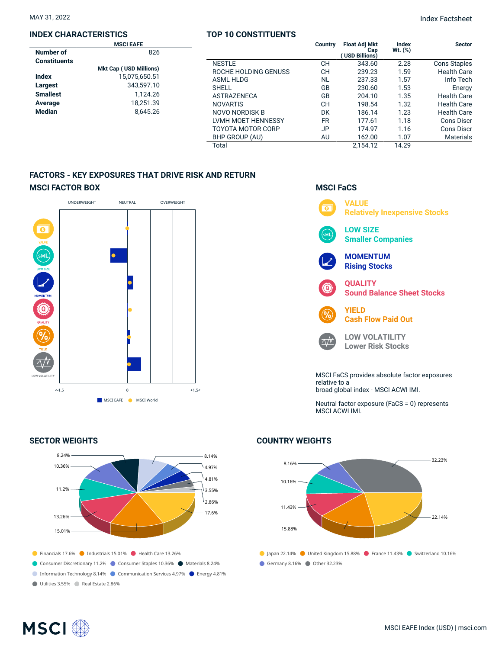#### **INDEX CHARACTERISTICS**

|                     | <b>MSCI EAFE</b>              |  |
|---------------------|-------------------------------|--|
| Number of           | 826                           |  |
| <b>Constituents</b> |                               |  |
|                     | <b>Mkt Cap (USD Millions)</b> |  |
| Index               | 15,075,650.51                 |  |
| Largest             | 343.597.10                    |  |
| <b>Smallest</b>     | 1.124.26                      |  |
| Average             | 18.251.39                     |  |
| <b>Median</b>       | 8.645.26                      |  |
|                     |                               |  |

## **TOP 10 CONSTITUENTS**

|                          | Country   | <b>Float Adj Mkt</b><br>Cap<br>( USD Billions) | Index<br>Wt. (%) | <b>Sector</b>       |
|--------------------------|-----------|------------------------------------------------|------------------|---------------------|
| <b>NESTLE</b>            | CН        | 343.60                                         | 2.28             | <b>Cons Staples</b> |
| ROCHE HOLDING GENUSS     | CН        | 239.23                                         | 1.59             | <b>Health Care</b>  |
| <b>ASML HLDG</b>         | NL        | 237.33                                         | 1.57             | Info Tech           |
| <b>SHELL</b>             | GB        | 230.60                                         | 1.53             | Energy              |
| <b>ASTRAZENECA</b>       | GB        | 204.10                                         | 1.35             | <b>Health Care</b>  |
| <b>NOVARTIS</b>          | CН        | 198.54                                         | 1.32             | <b>Health Care</b>  |
| NOVO NORDISK B           | DK        | 186.14                                         | 1.23             | <b>Health Care</b>  |
| LVMH MOET HENNESSY       | <b>FR</b> | 177.61                                         | 1.18             | Cons Discr          |
| <b>TOYOTA MOTOR CORP</b> | JP        | 174.97                                         | 1.16             | Cons Discr          |
| BHP GROUP (AU)           | AU        | 162.00                                         | 1.07             | <b>Materials</b>    |
| Total                    |           | 2.154.12                                       | 14.29            |                     |

## **FACTORS - KEY EXPOSURES THAT DRIVE RISK AND RETURN MSCI FACTOR BOX**



## **SECTOR WEIGHTS**

**MSCI**<sup>®</sup>



## **MSCI FaCS**



Neutral factor exposure (FaCS = 0) represents MSCI ACWI IMI.

## **COUNTRY WEIGHTS**



![](_page_1_Picture_15.jpeg)

## MSCI EAFE Index (USD) | msci.com